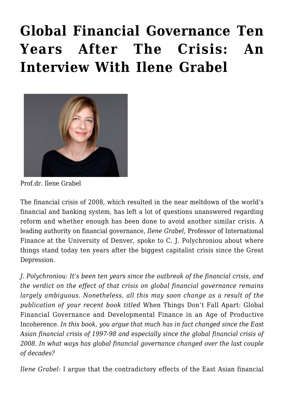## **[Global Financial Governance Ten](https://rozenbergquarterly.com/global-financial-governance-ten-years-after-the-crisis-an-interview-with-ilene-grabel/) [Years After The Crisis: An](https://rozenbergquarterly.com/global-financial-governance-ten-years-after-the-crisis-an-interview-with-ilene-grabel/) [Interview With Ilene Grabel](https://rozenbergquarterly.com/global-financial-governance-ten-years-after-the-crisis-an-interview-with-ilene-grabel/)**



Prof.dr. Ilene Grabel

The financial crisis of 2008, which resulted in the near meltdown of the world's financial and banking system, has left a lot of questions unanswered regarding reform and whether enough has been done to avoid another similar crisis. A leading authority on financial governance, *Ilene Grabel*, Professor of International Finance at the University of Denver, spoke to C. J. Polychroniou about where things stand today ten years after the biggest capitalist crisis since the Great Depression.

*J. Polychroniou: It's been ten years since the outbreak of the financial crisis, and the verdict on the effect of that crisis on global financial governance remains largely ambiguous. Nonetheless, all this may soon change as a result of the publication of your recent book titled* When Things Don't Fall Apart: Global Financial Governance and Developmental Finance in an Age of Productive Incoherence*. In this book, you argue that much has in fact changed since the East Asian financial crisis of 1997-98 and especially since the global financial crisis of 2008. In what ways has global financial governance changed over the last couple of decades?*

*Ilene Grabel:* I argue that the contradictory effects of the East Asian financial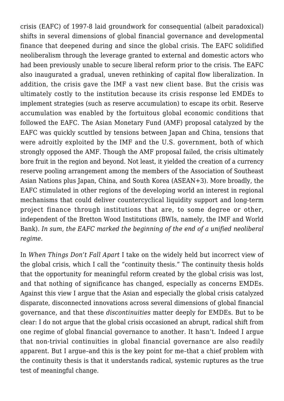crisis (EAFC) of 1997-8 laid groundwork for consequential (albeit paradoxical) shifts in several dimensions of global financial governance and developmental finance that deepened during and since the global crisis. The EAFC solidified neoliberalism through the leverage granted to external and domestic actors who had been previously unable to secure liberal reform prior to the crisis. The EAFC also inaugurated a gradual, uneven rethinking of capital flow liberalization. In addition, the crisis gave the IMF a vast new client base. But the crisis was ultimately costly to the institution because its crisis response led EMDEs to implement strategies (such as reserve accumulation) to escape its orbit. Reserve accumulation was enabled by the fortuitous global economic conditions that followed the EAFC. The Asian Monetary Fund (AMF) proposal catalyzed by the EAFC was quickly scuttled by tensions between Japan and China, tensions that were adroitly exploited by the IMF and the U.S. government, both of which strongly opposed the AMF. Though the AMF proposal failed, the crisis ultimately bore fruit in the region and beyond. Not least, it yielded the creation of a currency reserve pooling arrangement among the members of the Association of Southeast Asian Nations plus Japan, China, and South Korea (ASEAN+3). More broadly, the EAFC stimulated in other regions of the developing world an interest in regional mechanisms that could deliver countercyclical liquidity support and long-term project finance through institutions that are, to some degree or other, independent of the Bretton Wood Institutions (BWIs, namely, the IMF and World Bank). *In sum, the EAFC marked the beginning of the end of a unified neoliberal regime*.

In *When Things Don't Fall Apart* I take on the widely held but incorrect view of the global crisis, which I call the "continuity thesis." The continuity thesis holds that the opportunity for meaningful reform created by the global crisis was lost, and that nothing of significance has changed, especially as concerns EMDEs. Against this view I argue that the Asian and especially the global crisis catalyzed disparate, disconnected innovations across several dimensions of global financial governance, and that these *discontinuities* matter deeply for EMDEs. But to be clear: I do not argue that the global crisis occasioned an abrupt, radical shift from one regime of global financial governance to another. It hasn't. Indeed I argue that non-trivial continuities in global financial governance are also readily apparent. But I argue–and this is the key point for me–that a chief problem with the continuity thesis is that it understands radical, systemic ruptures as the true test of meaningful change.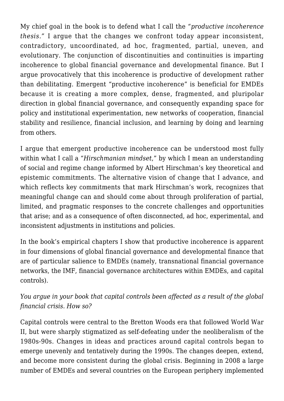My chief goal in the book is to defend what I call the *"productive incoherence thesis."* I argue that the changes we confront today appear inconsistent, contradictory, uncoordinated, ad hoc, fragmented, partial, uneven, and evolutionary. The conjunction of discontinuities and continuities is imparting incoherence to global financial governance and developmental finance. But I argue provocatively that this incoherence is productive of development rather than debilitating. Emergent "productive incoherence" is beneficial for EMDEs because it is creating a more complex, dense, fragmented, and pluripolar direction in global financial governance, and consequently expanding space for policy and institutional experimentation, new networks of cooperation, financial stability and resilience, financial inclusion, and learning by doing and learning from others.

I argue that emergent productive incoherence can be understood most fully within what I call a "*Hirschmanian mindset*," by which I mean an understanding of social and regime change informed by Albert Hirschman's key theoretical and epistemic commitments. The alternative vision of change that I advance, and which reflects key commitments that mark Hirschman's work, recognizes that meaningful change can and should come about through proliferation of partial, limited, and pragmatic responses to the concrete challenges and opportunities that arise; and as a consequence of often disconnected, ad hoc, experimental, and inconsistent adjustments in institutions and policies.

In the book's empirical chapters I show that productive incoherence is apparent in four dimensions of global financial governance and developmental finance that are of particular salience to EMDEs (namely, transnational financial governance networks, the IMF, financial governance architectures within EMDEs, and capital controls).

## *You argue in your book that capital controls been affected as a result of the global financial crisis. How so?*

Capital controls were central to the Bretton Woods era that followed World War II, but were sharply stigmatized as self-defeating under the neoliberalism of the 1980s-90s. Changes in ideas and practices around capital controls began to emerge unevenly and tentatively during the 1990s. The changes deepen, extend, and become more consistent during the global crisis. Beginning in 2008 a large number of EMDEs and several countries on the European periphery implemented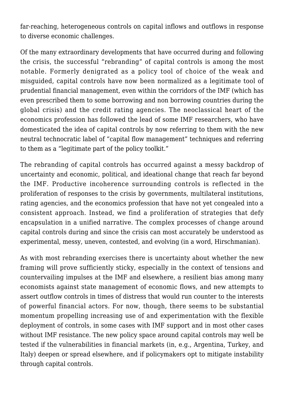far-reaching, heterogeneous controls on capital inflows and outflows in response to diverse economic challenges.

Of the many extraordinary developments that have occurred during and following the crisis, the successful "rebranding" of capital controls is among the most notable. Formerly denigrated as a policy tool of choice of the weak and misguided, capital controls have now been normalized as a legitimate tool of prudential financial management, even within the corridors of the IMF (which has even prescribed them to some borrowing and non borrowing countries during the global crisis) and the credit rating agencies. The neoclassical heart of the economics profession has followed the lead of some IMF researchers, who have domesticated the idea of capital controls by now referring to them with the new neutral technocratic label of "capital flow management" techniques and referring to them as a "legitimate part of the policy toolkit."

The rebranding of capital controls has occurred against a messy backdrop of uncertainty and economic, political, and ideational change that reach far beyond the IMF. Productive incoherence surrounding controls is reflected in the proliferation of responses to the crisis by governments, multilateral institutions, rating agencies, and the economics profession that have not yet congealed into a consistent approach. Instead, we find a proliferation of strategies that defy encapsulation in a unified narrative. The complex processes of change around capital controls during and since the crisis can most accurately be understood as experimental, messy, uneven, contested, and evolving (in a word, Hirschmanian).

As with most rebranding exercises there is uncertainty about whether the new framing will prove sufficiently sticky, especially in the context of tensions and countervailing impulses at the IMF and elsewhere, a resilient bias among many economists against state management of economic flows, and new attempts to assert outflow controls in times of distress that would run counter to the interests of powerful financial actors. For now, though, there seems to be substantial momentum propelling increasing use of and experimentation with the flexible deployment of controls, in some cases with IMF support and in most other cases without IMF resistance. The new policy space around capital controls may well be tested if the vulnerabilities in financial markets (in, e.g., Argentina, Turkey, and Italy) deepen or spread elsewhere, and if policymakers opt to mitigate instability through capital controls.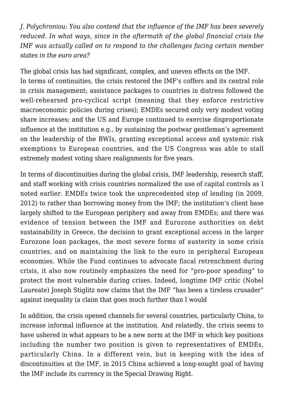*J. Polychroniou: You also contend that the influence of the IMF has been severely reduced. In what ways, since in the aftermath of the global financial crisis the IMF was actually called on to respond to the challenges facing certain member states in the euro area?*

The global crisis has had significant, complex, and uneven effects on the IMF. In terms of continuities, the crisis restored the IMF's coffers and its central role in crisis management; assistance packages to countries in distress followed the well-rehearsed pro-cyclical script (meaning that they enforce restrictive macroeconomic policies during crises); EMDEs secured only very modest voting share increases; and the US and Europe continued to exercise disproportionate influence at the institution e.g., by sustaining the postwar gentleman's agreement on the leadership of the BWIs, granting exceptional access and systemic risk exemptions to European countries, and the US Congress was able to stall extremely modest voting share realignments for five years.

In terms of discontinuities during the global crisis, IMF leadership, research staff, and staff working with crisis countries normalized the use of capital controls as I noted earlier. EMDEs twice took the unprecedented step of lending (in 2009, 2012) to rather than borrowing money from the IMF; the institution's client base largely shifted to the European periphery and away from EMDEs; and there was evidence of tension between the IMF and Eurozone authorities on debt sustainability in Greece, the decision to grant exceptional access in the larger Eurozone loan packages, the most severe forms of austerity in some crisis countries, and on maintaining the link to the euro in peripheral European economies. While the Fund continues to advocate fiscal retrenchment during crisis, it also now routinely emphasizes the need for "pro-poor spending" to protect the most vulnerable during crises. Indeed, longtime IMF critic (Nobel Laureate) Joseph Stiglitz now claims that the IMF "has been a tireless crusader" against inequality (a claim that goes much further than I would

In addition, the crisis opened channels for several countries, particularly China, to increase informal influence at the institution. And relatedly, the crisis seems to have ushered in what appears to be a new norm at the IMF in which key positions including the number two position is given to representatives of EMDEs, particularly China. In a different vein, but in keeping with the idea of discontinuities at the IMF, in 2015 China achieved a long-sought goal of having the IMF include its currency in the Special Drawing Right.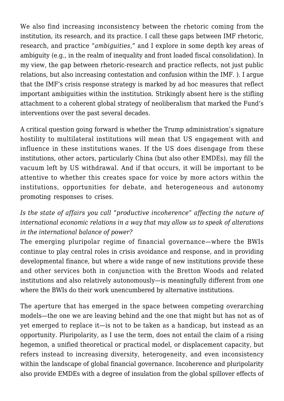We also find increasing inconsistency between the rhetoric coming from the institution, its research, and its practice. I call these gaps between IMF rhetoric, research, and practice "*ambiguities*," and I explore in some depth key areas of ambiguity (e.g., in the realm of inequality and front loaded fiscal consolidation). In my view, the gap between rhetoric-research and practice reflects, not just public relations, but also increasing contestation and confusion within the IMF. ). I argue that the IMF's crisis response strategy is marked by ad hoc measures that reflect important ambiguities within the institution. Strikingly absent here is the stifling attachment to a coherent global strategy of neoliberalism that marked the Fund's interventions over the past several decades.

A critical question going forward is whether the Trump administration's signature hostility to multilateral institutions will mean that US engagement with and influence in these institutions wanes. If the US does disengage from these institutions, other actors, particularly China (but also other EMDEs), may fill the vacuum left by US withdrawal. And if that occurs, it will be important to be attentive to whether this creates space for voice by more actors within the institutions, opportunities for debate, and heterogeneous and autonomy promoting responses to crises.

## *Is the state of affairs you call "productive incoherence" affecting the nature of international economic relations in a way that may allow us to speak of alterations in the international balance of power?*

The emerging pluripolar regime of financial governance—where the BWIs continue to play central roles in crisis avoidance and response, and in providing developmental finance, but where a wide range of new institutions provide these and other services both in conjunction with the Bretton Woods and related institutions and also relatively autonomously—is meaningfully different from one where the BWIs do their work unencumbered by alternative institutions.

The aperture that has emerged in the space between competing overarching models—the one we are leaving behind and the one that might but has not as of yet emerged to replace it—is not to be taken as a handicap, but instead as an opportunity. Pluripolarity, as I use the term, does not entail the claim of a rising hegemon, a unified theoretical or practical model, or displacement capacity, but refers instead to increasing diversity, heterogeneity, and even inconsistency within the landscape of global financial governance. Incoherence and pluripolarity also provide EMDEs with a degree of insulation from the global spillover effects of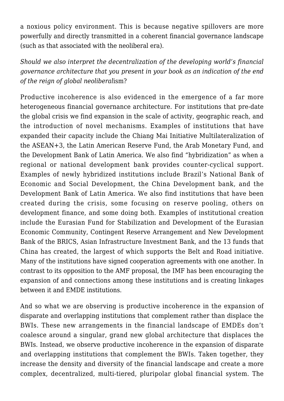a noxious policy environment. This is because negative spillovers are more powerfully and directly transmitted in a coherent financial governance landscape (such as that associated with the neoliberal era).

*Should we also interpret the decentralization of the developing world's financial governance architecture that you present in your book as an indication of the end of the reign of global neoliberal*ism?

Productive incoherence is also evidenced in the emergence of a far more heterogeneous financial governance architecture. For institutions that pre-date the global crisis we find expansion in the scale of activity, geographic reach, and the introduction of novel mechanisms. Examples of institutions that have expanded their capacity include the Chiang Mai Initiative Multilateralization of the ASEAN+3, the Latin American Reserve Fund, the Arab Monetary Fund, and the Development Bank of Latin America. We also find "hybridization" as when a regional or national development bank provides counter-cyclical support. Examples of newly hybridized institutions include Brazil's National Bank of Economic and Social Development, the China Development bank, and the Development Bank of Latin America. We also find institutions that have been created during the crisis, some focusing on reserve pooling, others on development finance, and some doing both. Examples of institutional creation include the Eurasian Fund for Stabilization and Development of the Eurasian Economic Community, Contingent Reserve Arrangement and New Development Bank of the BRICS, Asian Infrastructure Investment Bank, and the 13 funds that China has created, the largest of which supports the Belt and Road initiative. Many of the institutions have signed cooperation agreements with one another. In contrast to its opposition to the AMF proposal, the IMF has been encouraging the expansion of and connections among these institutions and is creating linkages between it and EMDE institutions.

And so what we are observing is productive incoherence in the expansion of disparate and overlapping institutions that complement rather than displace the BWIs. These new arrangements in the financial landscape of EMDEs don't coalesce around a singular, grand new global architecture that displaces the BWIs. Instead, we observe productive incoherence in the expansion of disparate and overlapping institutions that complement the BWIs. Taken together, they increase the density and diversity of the financial landscape and create a more complex, decentralized, multi-tiered, pluripolar global financial system. The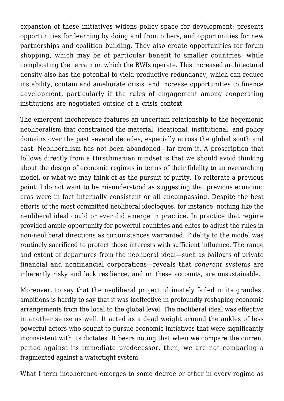expansion of these initiatives widens policy space for development; presents opportunities for learning by doing and from others, and opportunities for new partnerships and coalition building. They also create opportunities for forum shopping, which may be of particular benefit to smaller countries; while complicating the terrain on which the BWIs operate. This increased architectural density also has the potential to yield productive redundancy, which can reduce instability, contain and ameliorate crisis, and increase opportunities to finance development, particularly if the rules of engagement among cooperating institutions are negotiated outside of a crisis context.

The emergent incoherence features an uncertain relationship to the hegemonic neoliberalism that constrained the material, ideational, institutional, and policy domains over the past several decades, especially across the global south and east. Neoliberalism has not been abandoned—far from it. A proscription that follows directly from a Hirschmanian mindset is that we should avoid thinking about the design of economic regimes in terms of their fidelity to an overarching model, or what we may think of as the pursuit of purity. To reiterate a previous point: I do not want to be misunderstood as suggesting that previous economic eras were in fact internally consistent or all encompassing. Despite the best efforts of the most committed neoliberal ideologues, for instance, nothing like the neoliberal ideal could or ever did emerge in practice. In practice that regime provided ample opportunity for powerful countries and elites to adjust the rules in non-neoliberal directions as circumstances warranted. Fidelity to the model was routinely sacrificed to protect those interests with sufficient influence. The range and extent of departures from the neoliberal ideal—such as bailouts of private financial and nonfinancial corporations—reveals that *coherent* systems are inherently risky and lack resilience, and on these accounts, are unsustainable.

Moreover, to say that the neoliberal project ultimately failed in its grandest ambitions is hardly to say that it was ineffective in profoundly reshaping economic arrangements from the local to the global level. The neoliberal ideal was effective in another sense as well. It acted as a dead weight around the ankles of less powerful actors who sought to pursue economic initiatives that were significantly inconsistent with its dictates. It bears noting that when we compare the current period against its immediate predecessor, then, we are not comparing a fragmented against a watertight system.

What I term incoherence emerges to some degree or other in every regime as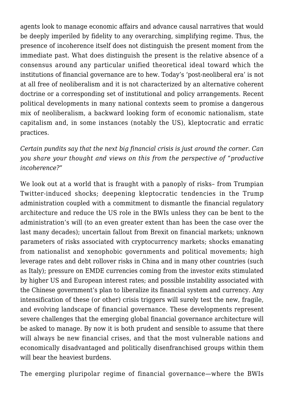agents look to manage economic affairs and advance causal narratives that would be deeply imperiled by fidelity to any overarching, simplifying regime. Thus, the presence of incoherence itself does not distinguish the present moment from the immediate past. What does distinguish the present is the relative absence of a consensus around any particular unified theoretical ideal toward which the institutions of financial governance are to hew. Today's 'post-neoliberal era' is not at all free of neoliberalism and it is not characterized by an alternative coherent doctrine or a corresponding set of institutional and policy arrangements. Recent political developments in many national contexts seem to promise a dangerous mix of neoliberalism, a backward looking form of economic nationalism, state capitalism and, in some instances (notably the US), kleptocratic and erratic practices.

*Certain pundits say that the next big financial crisis is just around the corner. Can you share your thought and views on this from the perspective of "productive incoherence?*"

We look out at a world that is fraught with a panoply of risks– from Trumpian Twitter-induced shocks; deepening kleptocratic tendencies in the Trump administration coupled with a commitment to dismantle the financial regulatory architecture and reduce the US role in the BWIs unless they can be bent to the administration's will (to an even greater extent than has been the case over the last many decades); uncertain fallout from Brexit on financial markets; unknown parameters of risks associated with cryptocurrency markets; shocks emanating from nationalist and xenophobic governments and political movements; high leverage rates and debt rollover risks in China and in many other countries (such as Italy); pressure on EMDE currencies coming from the investor exits stimulated by higher US and European interest rates; and possible instability associated with the Chinese government's plan to liberalize its financial system and currency. Any intensification of these (or other) crisis triggers will surely test the new, fragile, and evolving landscape of financial governance. These developments represent severe challenges that the emerging global financial governance architecture will be asked to manage. By now it is both prudent and sensible to assume that there will always be new financial crises, and that the most vulnerable nations and economically disadvantaged and politically disenfranchised groups within them will bear the heaviest burdens.

The emerging pluripolar regime of financial governance—where the BWIs